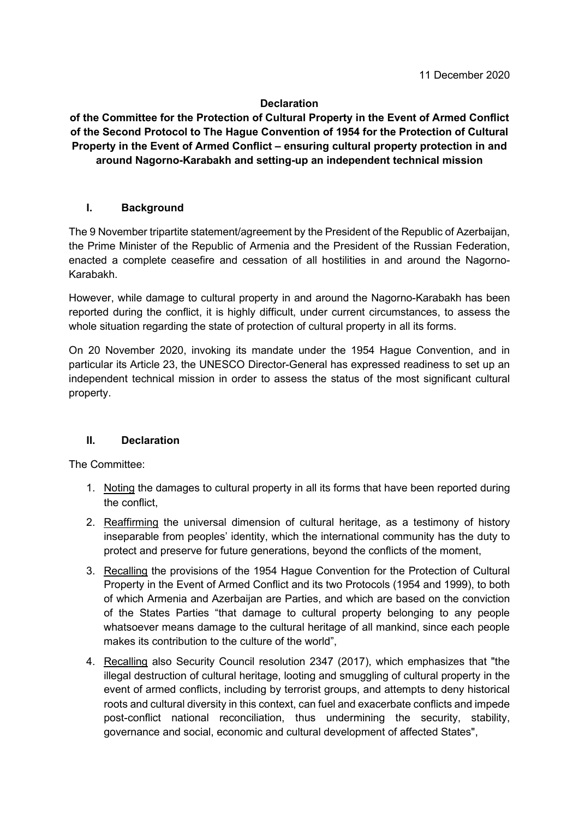## **Declaration**

**of the Committee for the Protection of Cultural Property in the Event of Armed Conflict of the Second Protocol to The Hague Convention of 1954 for the Protection of Cultural Property in the Event of Armed Conflict – ensuring cultural property protection in and around Nagorno-Karabakh and setting-up an independent technical mission** 

## **I. Background**

The 9 November tripartite statement/agreement by the President of the Republic of Azerbaijan, the Prime Minister of the Republic of Armenia and the President of the Russian Federation, enacted a complete ceasefire and cessation of all hostilities in and around the Nagorno-Karabakh.

However, while damage to cultural property in and around the Nagorno-Karabakh has been reported during the conflict, it is highly difficult, under current circumstances, to assess the whole situation regarding the state of protection of cultural property in all its forms.

On 20 November 2020, invoking its mandate under the 1954 Hague Convention, and in particular its Article 23, the UNESCO Director-General has expressed readiness to set up an independent technical mission in order to assess the status of the most significant cultural property.

## **II. Declaration**

The Committee:

- 1. Noting the damages to cultural property in all its forms that have been reported during the conflict,
- 2. Reaffirming the universal dimension of cultural heritage, as a testimony of history inseparable from peoples' identity, which the international community has the duty to protect and preserve for future generations, beyond the conflicts of the moment,
- 3. Recalling the provisions of the 1954 Hague Convention for the Protection of Cultural Property in the Event of Armed Conflict and its two Protocols (1954 and 1999), to both of which Armenia and Azerbaijan are Parties, and which are based on the conviction of the States Parties "that damage to cultural property belonging to any people whatsoever means damage to the cultural heritage of all mankind, since each people makes its contribution to the culture of the world",
- 4. Recalling also Security Council resolution 2347 (2017), which emphasizes that "the illegal destruction of cultural heritage, looting and smuggling of cultural property in the event of armed conflicts, including by terrorist groups, and attempts to deny historical roots and cultural diversity in this context, can fuel and exacerbate conflicts and impede post-conflict national reconciliation, thus undermining the security, stability, governance and social, economic and cultural development of affected States",